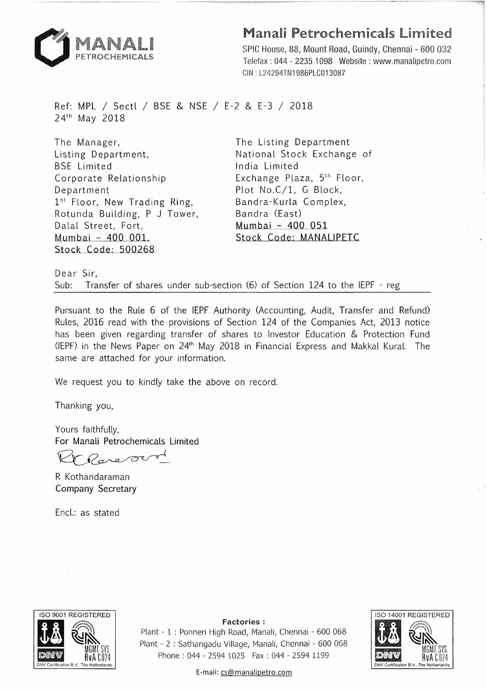

## Manali Petrochemicals Limited

SPIC House, 88, Mount Road, Guindy, Chennai - 600 032 Telefax: 044 - 2235 1098 Website: www.manalipetro.com CIN : L24294TN1986PLC013087

Ref: MPL *I* Sectl *I* BSE & NSE *I* E-2 & E-3 *I* 2018 24th May 2018

The Manager, Listing Department, BSE Limited Corporate Relationship Department 1<sup>st</sup> Floor, New Trading Ring, Rotunda Building, P J Tower, Dalal Street, Fort, Mumbai - 400 001. Stock Code: 500268

The Listing Department National Stock Exchange of India Limited Exchange Plaza, 5<sup>th</sup> Floor, Plot No.C/1, G Block, Bandra-Kurla Complex, Bandra (East) Mumbai - 400 051 Stock Code: MANAUPETC

Dear Sir, Sub: Transfer of shares under sub-section (6) of Section 124 to the IEPF - reg

Pursuant to the Rule 6 of the IEPF Authority (Accounting, Audit, Transfer and Refund) Rules, 2016 read with the provisions of Section 124 of the Companies Act, 2013 notice has been given regarding transfer of shares to Investor Education & Protection Fund (IEPF) in the News Paper on 24<sup>th</sup> May 2018 in Financial Express and Makkal Kural. The same are attached for your information.

We request you to kindly take the above on record.

Thanking you,

Yours faithfully, For Manali Petrochemicals Limited

 $\sigma$  $\sim$   $\circ$ 

R Kothandaraman Company Secretary

Encl.: as stated



Factories:

Plant - 1 : Ponneri High Road, Manali, Chennai - 600 068 Plant - 2 : Sathangadu Village, Manali, Chennai - 600 068 Phone : 044 - 2594 1025 Fax : 044 - 2594 1199



E-mail: cs@manalipetro.com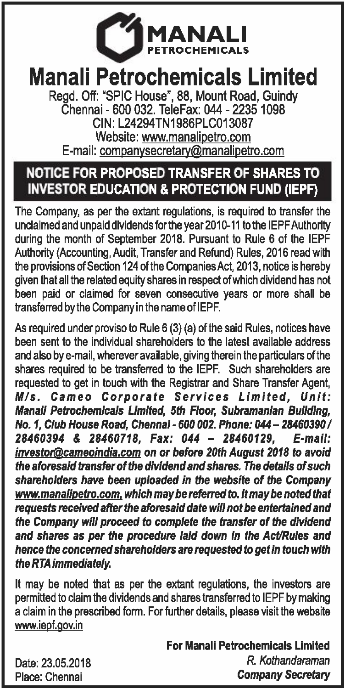

## **Manali Petrochemicals Limited**

Regd. Off: "SPIC House", 88, Mount Road, Guindy Chennai - 600 032. TeleFax: 044 - 2235 1098 CIN:L24294TN1986PLC013087 Website: www.manalipetro.com E-mail: companysecretary@manalipetro.com

## NOTICE FOR PROPOSED TRANSFER OF SHARES TO INVESTOR EDUCATION & PROTECTION FUND (IEPF)

The Company, as per the extant regulations, is required to transfer the unclaimed and unpaid dividends for the year 2010-11 to the IEPF Authority during the month of September 2018. Pursuant to Rule 6 of the IEPF Authority (Accounting, Audit, Transfer and Refund) Rules, 2016 read with the provisions of Section 124 of the Companies Act, 2013, notice is hereby given that all the related equity shares in respect of which dividend has not been paid or claimed for seven consecutive years or more shall be transferred by the Company in the name of IEPF.

As required under proviso to Rule 6 (3) (a) of the said Rules, notices have been sent to the individual shareholders to the latest available address and also by e-mail, wherever available, giving therein the particulars of the shares required to be transferred to the IEPF. Such shareholders are requested to get in touch with the Registrar and Share Transfer Agent, *Mis.* Cameo *Corporate Services Limited, Unit: Manali Petrochemicals Limited, 5th Floor, Subramanian Building, No. 1, Club* House Road, *Chennai - 600 002. Phone: 044- 28460390 I 28460394* & *28460718, Fax: 044 - 28460129, E-mail: investor@cameoindia.com on or* before *20th August 2018 to avoid the* aforesaid *transfer of the dividend and* shares. *The details of such shareholders have* been *uploaded in the website* of *the Company www.manalipetro.com. which may* be *referred* to. *It may be noted that requests received after the aforesaid date will not be entertained and the Company will proceed to complete the transfer of the dividend and* shares as *per the procedure laid down in the Act/Rules and hence the concerned shareholders* are *requested to get in touch with the RTA immediately.* 

It may be noted that as per the extant regulations, the investors are permitted to claim the dividends and shares transferred to IEPF by making a claim in the prescribed form. For further details, please visit the website www.iepf.gov.in

> For Manali Petrochemicals Limited *R. Kothandaraman Company* Secretary

Date: 23.05.2018 Place: Chennai